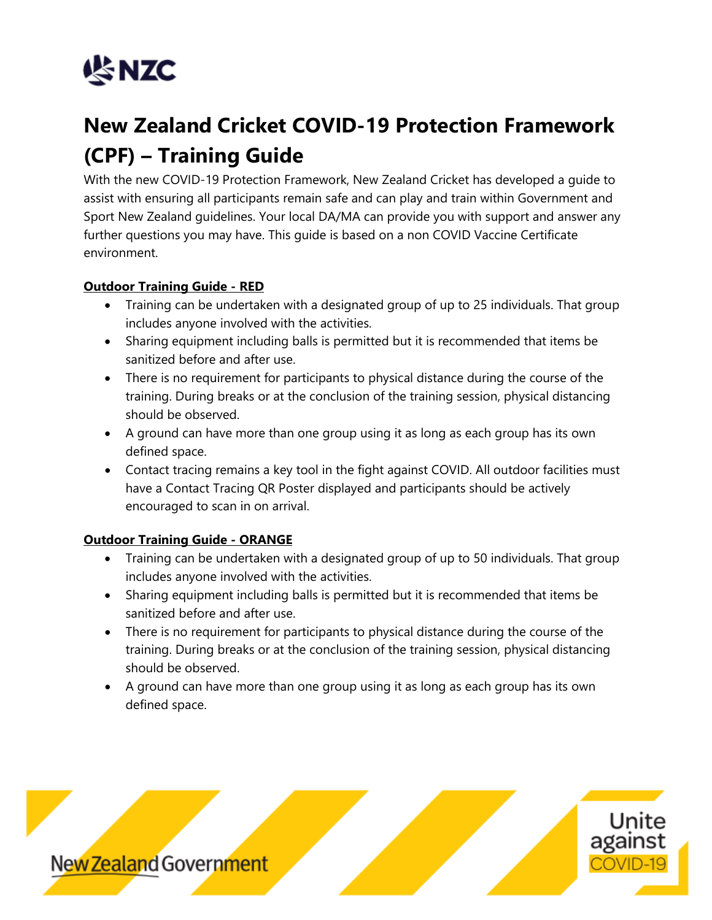

# **New Zealand Cricket COVID-19 Protection Framework (CPF) – Training Guide**

With the new COVID-19 Protection Framework, New Zealand Cricket has developed a guide to assist with ensuring all participants remain safe and can play and train within Government and Sport New Zealand guidelines. Your local DA/MA can provide you with support and answer any further questions you may have. This guide is based on a non COVID Vaccine Certificate environment.

### **Outdoor Training Guide - RED**

- Training can be undertaken with a designated group of up to 25 individuals. That group includes anyone involved with the activities.
- Sharing equipment including balls is permitted but it is recommended that items be sanitized before and after use.
- There is no requirement for participants to physical distance during the course of the training. During breaks or at the conclusion of the training session, physical distancing should be observed.
- A ground can have more than one group using it as long as each group has its own defined space.
- Contact tracing remains a key tool in the fight against COVID. All outdoor facilities must have a Contact Tracing QR Poster displayed and participants should be actively encouraged to scan in on arrival.

#### **Outdoor Training Guide - ORANGE**

- Training can be undertaken with a designated group of up to 50 individuals. That group includes anyone involved with the activities.
- Sharing equipment including balls is permitted but it is recommended that items be sanitized before and after use.
- There is no requirement for participants to physical distance during the course of the training. During breaks or at the conclusion of the training session, physical distancing should be observed.
- A ground can have more than one group using it as long as each group has its own defined space.